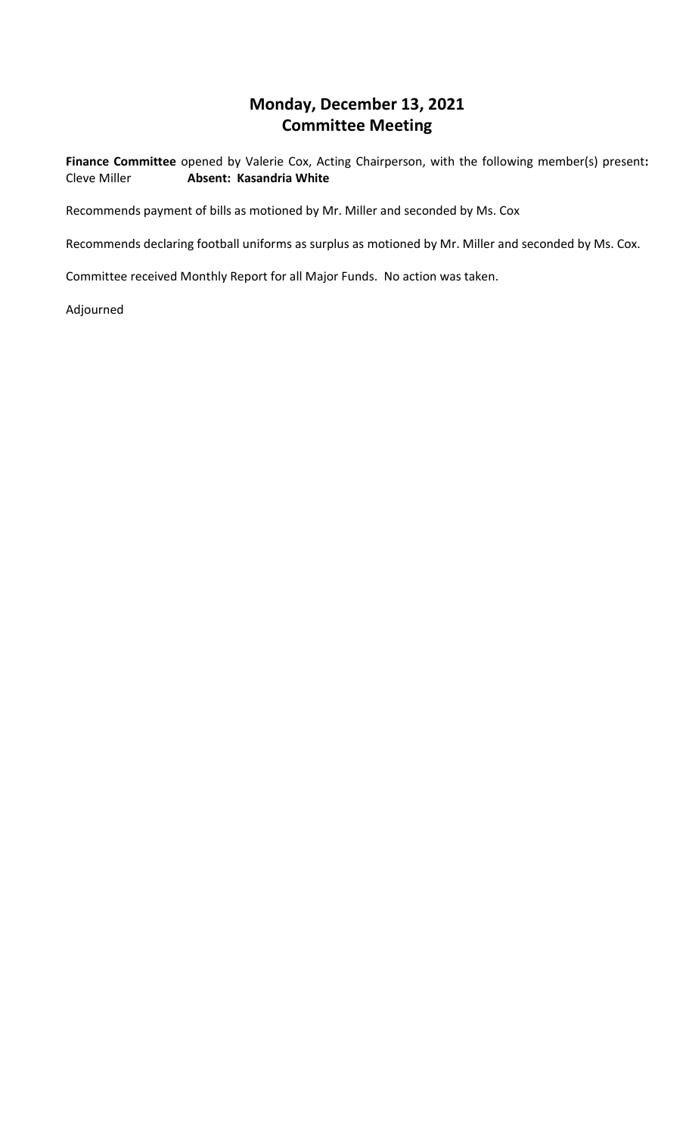## **Monday, December 13, 2021 Committee Meeting**

**Finance Committee** opened by Valerie Cox, Acting Chairperson, with the following member(s) present**:**  Cleve Miller **Absent: Kasandria White**

Recommends payment of bills as motioned by Mr. Miller and seconded by Ms. Cox

Recommends declaring football uniforms as surplus as motioned by Mr. Miller and seconded by Ms. Cox.

Committee received Monthly Report for all Major Funds. No action was taken.

Adjourned